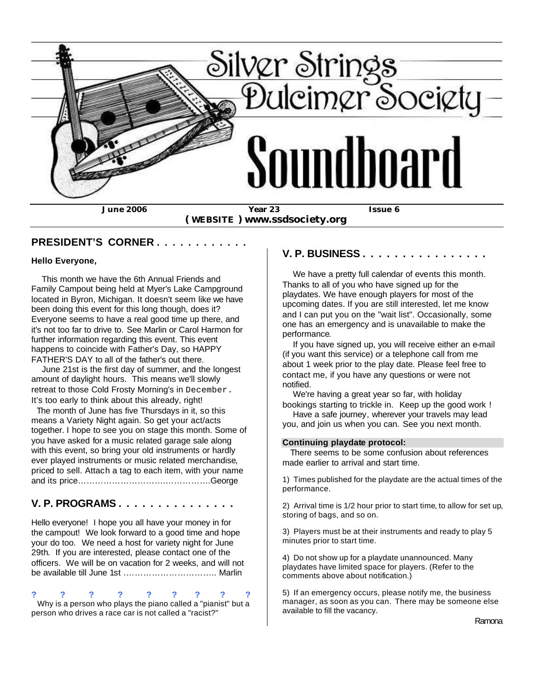

 **( WEBSITE ) www.ssdsociety.org**

#### **PRESIDENT'S CORNER . . . . . . . . . . . .**

#### **Hello Everyone,**

 This month we have the 6th Annual Friends and Family Campout being held at Myer's Lake Campground located in Byron, Michigan. It doesn't seem like we have been doing this event for this long though, does it? Everyone seems to have a real good time up there, and it's not too far to drive to. See Marlin or Carol Harmon for further information regarding this event. This event happens to coincide with Father's Day, so HAPPY FATHER'S DAY to all of the father's out there.

 June 21st is the first day of summer, and the longest amount of daylight hours. This means we'll slowly retreat to those Cold Frosty Morning's in December. It's too early to think about this already, right!

 The month of June has five Thursdays in it, so this means a Variety Night again. So get your act/acts together. I hope to see you on stage this month. Some of you have asked for a music related garage sale along with this event, so bring your old instruments or hardly ever played instruments or music related merchandise, priced to sell. Attach a tag to each item, with your name and its price………………………….…………….George

## **V. P. PROGRAMS . . . . . . . . . . . . . . .**

Hello everyone! I hope you all have your money in for the campout! We look forward to a good time and hope your do too. We need a host for variety night for June 29th. If you are interested, please contact one of the officers. We will be on vacation for 2 weeks, and will not be available till June 1st .………………………….. Marlin

#### **? ? ? ? ? ? ? ? ?** Why is a person who plays the piano called a "pianist" but a person who drives a race car is not called a "racist?"

#### **V. P. BUSINESS . . . . . . . . . . . . . . . .**

 We have a pretty full calendar of events this month. Thanks to all of you who have signed up for the playdates. We have enough players for most of the upcoming dates. If you are still interested, let me know and I can put you on the "wait list". Occasionally, some one has an emergency and is unavailable to make the performance.

If you have signed up, you will receive either an e-mail (if you want this service) or a telephone call from me about 1 week prior to the play date. Please feel free to contact me, if you have any questions or were not notified.

 We're having a great year so far, with holiday bookings starting to trickle in. Keep up the good work ! Have a safe journey, wherever your travels may lead

you, and join us when you can. See you next month.

#### **Continuing playdate protocol:**

 There seems to be some confusion about references made earlier to arrival and start time.

1) Times published for the playdate are the actual times of the performance.

2) Arrival time is 1/2 hour prior to start time, to allow for set up, storing of bags, and so on.

3) Players must be at their instruments and ready to play 5 minutes prior to start time.

4) Do not show up for a playdate unannounced. Many playdates have limited space for players. (Refer to the comments above about notification.)

5) If an emergency occurs, please notify me, the business manager, as soon as you can. There may be someone else available to fill the vacancy.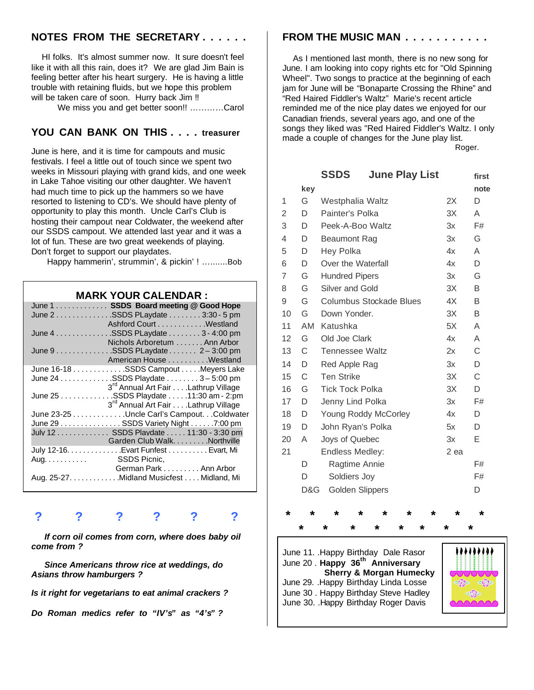## **NOTES FROM THE SECRETARY . . . . . .**

 HI folks. It's almost summer now. It sure doesn't feel like it with all this rain, does it? We are glad Jim Bain is feeling better after his heart surgery. He is having a little trouble with retaining fluids, but we hope this problem will be taken care of soon. Hurry back Jim !!

We miss you and get better soon!! ...........Carol

## **YOU CAN BANK ON THIS . . . . treasurer**

June is here, and it is time for campouts and music festivals. I feel a little out of touch since we spent two weeks in Missouri playing with grand kids, and one week in Lake Tahoe visiting our other daughter. We haven't had much time to pick up the hammers so we have resorted to listening to CD's. We should have plenty of opportunity to play this month. Uncle Carl's Club is hosting their campout near Coldwater, the weekend after our SSDS campout. We attended last year and it was a lot of fun. These are two great weekends of playing. Don't forget to support our playdates.

Happy hammerin', strummin', & pickin' ! ….......Bob

#### **MARK YOUR CALENDAR :**

|                   | June 1 SSDS Board meeting @ Good Hope           |
|-------------------|-------------------------------------------------|
|                   | June 2SSDS PLaydate  3:30 - 5 pm                |
|                   | Ashford Court Westland                          |
|                   | June 4 SSDS PLaydate 3 - 4:00 pm                |
|                   | Nichols Arboretum  Ann Arbor                    |
|                   | June 9 SSDS PLaydate 2 - 3:00 pm                |
|                   | American House Westland                         |
|                   | June 16-18 SSDS Campout Meyers Lake             |
|                   | June $24$ SSDS Playdate  3 – 5:00 pm            |
|                   | 3 <sup>rd</sup> Annual Art Fair Lathrup Village |
|                   | June 25 SSDS Playdate 11:30 am - 2:pm           |
|                   | 3 <sup>rd</sup> Annual Art Fair Lathrup Village |
|                   | June 23-25 Uncle Carl's Campout. Coldwater      |
|                   | June 29 SSDS Variety Night 7:00 pm              |
|                   | July 12 SSDS Playdate 11:30 - 3:30 pm           |
|                   | Garden Club Walk. Northville                    |
|                   | July 12-16. Evart Funfest Evart, Mi             |
| Aug. SSDS Picnic, |                                                 |
|                   | German Park Ann Arbor                           |
|                   | Aug. 25-27. Midland Musicfest Midland, Mi       |
|                   |                                                 |

# **? ? ? ? ? ?**

 *If corn oil comes from corn, where does baby oil come from ?*

 *Since Americans throw rice at weddings, do Asians throw hamburgers ?*

*Is it right for vegetarians to eat animal crackers ?*

*Do Roman medics refer to "IV's" as "4's" ?*

#### **FROM THE MUSIC MAN . . . . . . . . . . .**

 As I mentioned last month, there is no new song for June. I am looking into copy rights etc for "Old Spinning Wheel". Two songs to practice at the beginning of each jam for June will be "Bonaparte Crossing the Rhine" and "Red Haired Fiddler's Waltz" Marie's recent article reminded me of the nice play dates we enjoyed for our Canadian friends, several years ago, and one of the songs they liked was "Red Haired Fiddler's Waltz. I only made a couple of changes for the June play list.

Roger.

|                |     | <b>SSDS</b>            |                         | <b>June Play List</b> |      | first |
|----------------|-----|------------------------|-------------------------|-----------------------|------|-------|
|                | key |                        |                         |                       |      | note  |
| 1              | G   | Westphalia Waltz       |                         |                       | 2X   | D     |
| $\overline{2}$ | D   | Painter's Polka        |                         | 3X                    | A    |       |
| 3              | D   | Peek-A-Boo Waltz       |                         |                       | 3x   | F#    |
| 4              | D   | <b>Beaumont Rag</b>    |                         |                       | 3x   | G     |
| 5              | D   | Hey Polka              |                         | 4x                    | A    |       |
| 6              | D   | Over the Waterfall     |                         | 4x                    | D    |       |
| 7              | G   | <b>Hundred Pipers</b>  |                         |                       | 3x   | G     |
| 8              | G   | Silver and Gold        |                         |                       | 3X   | B     |
| 9              | G   |                        | Columbus Stockade Blues |                       | 4X   | B     |
| 10             | G   | Down Yonder.           |                         |                       | 3X   | B     |
| 11             | AM  | Katushka               |                         |                       | 5X   | A     |
| 12             | G   | Old Joe Clark          |                         |                       | 4x   | A     |
| 13             | C   | <b>Tennessee Waltz</b> |                         |                       | 2x   | С     |
| 14             | D   | Red Apple Rag          |                         |                       | 3x   | D     |
| 15             | C   | <b>Ten Strike</b>      |                         |                       | 3X   | C     |
| 16             | G   | <b>Tick Tock Polka</b> |                         |                       | 3X   | D     |
| 17             | D   | Jenny Lind Polka       |                         |                       | 3x   | F#    |
| 18             | D   |                        | Young Roddy McCorley    |                       | 4x   | D     |
| 19             | D   | John Ryan's Polka      |                         |                       | 5x   | D     |
| 20             | A   | Joys of Quebec         |                         |                       | 3x   | Е     |
| 21             |     | <b>Endless Medley:</b> |                         |                       | 2 ea |       |
|                | D   | Ragtime Annie          |                         |                       |      | F#    |
|                | D   | Soldiers Joy           |                         |                       |      | F#    |
|                | D&G | <b>Golden Slippers</b> |                         |                       |      | D     |
|                |     |                        |                         |                       |      |       |

**\* \* \* \* \* \* \* \* \* \* \* \* \* \* \* \* \*** 

June 11. .Happy Birthday Dale Rasor June 20 . **Happy 36th Anniversary Sherry & Morgan Humecky** June 29. .Happy Birthday Linda Losse June 30 . Happy Birthday Steve Hadley June 30. .Happy Birthday Roger Davis

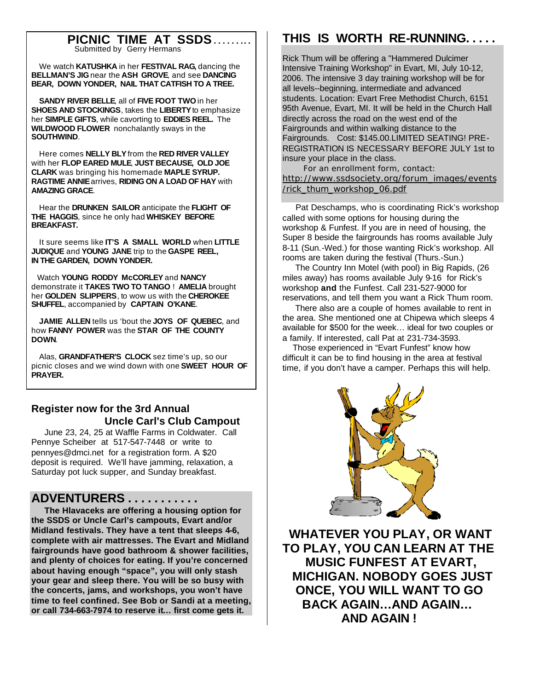#### **PICNIC TIME AT SSDS . . . . . . .. .** Submitted by Gerry Hermans

 We watch **KATUSHKA** in her **FESTIVAL RAG,** dancing the **BELLMAN'S JIG** near the **ASH GROVE**, and see **DANCING BEAR, DOWN YONDER, NAIL THAT CATFISH TO A TREE.**

 **SANDY RIVER BELLE**, all of **FIVE FOOT TWO** in her **SHOES AND STOCKINGS**, takes the **LIBERTY** to emphasize her **SIMPLE GIFTS**, while cavorting to **EDDIES REEL.** The **WILDWOOD FLOWER** nonchalantly sways in the **SOUTHWIND**.

 Here comes **NELLY BLY** from the **RED RIVER VALLEY** with her **FLOP EARED MULE**, **JUST BECAUSE, OLD JOE CLARK** was bringing his homemade **MAPLE SYRUP. RAGTIME ANNIE** arrives, **RIDING ON A LOAD OF HAY** with **AMAZING GRACE**.

 Hear the **DRUNKEN SAILOR** anticipate the **FLIGHT OF THE HAGGIS**, since he only had **WHISKEY BEFORE BREAKFAST.**

 It sure seems like **IT'S A SMALL WORLD** when **LITTLE JUDIQUE** and **YOUNG JANE** trip to the **GASPE REEL, IN THE GARDEN, DOWN YONDER.**

 Watch **YOUNG RODDY McCORLEY** and **NANCY** demonstrate it **TAKES TWO TO TANGO** ! **AMELIA** brought her **GOLDEN SLIPPERS**, to wow us with the **CHEROKEE SHUFFEL**, accompanied by **CAPTAIN O'KANE**.

 **JAMIE ALLEN** tells us 'bout the **JOYS OF QUEBEC**, and how **FANNY POWER** was the **STAR OF THE COUNTY DOWN**.

 Alas, **GRANDFATHER'S CLOCK** sez time's up, so our picnic closes and we wind down with one **SWEET HOUR OF PRAYER.**

# **Register now for the 3rd Annual Uncle Carl's Club Campout**

 June 23, 24, 25 at Waffle Farms in Coldwater. Call Pennye Scheiber at 517-547-7448 or write to pennyes@dmci.net for a registration form. A \$20 deposit is required. We'll have jamming, relaxation, a Saturday pot luck supper, and Sunday breakfast.

# **ADVENTURERS . . . . . . . . . . .**

 **The Hlavaceks are offering a housing option for the SSDS or Uncle Carl's campouts, Evart and/or Midland festivals. They have a tent that sleeps 4-6, complete with air mattresses. The Evart and Midland fairgrounds have good bathroom & shower facilities, and plenty of choices for eating. If you're concerned about having enough "space", you will only stash your gear and sleep there. You will be so busy with the concerts, jams, and workshops, you won't have time to feel confined. See Bob or Sandi at a meeting, or call 734-663-7974 to reserve it… first come gets it.**

# **THIS IS WORTH RE-RUNNING. . . . .**

Rick Thum will be offering a "Hammered Dulcimer Intensive Training Workshop" in Evart, MI, July 10-12, 2006. The intensive 3 day training workshop will be for all levels--beginning, intermediate and advanced students. Location: Evart Free Methodist Church, 6151 95th Avenue, Evart, MI. It will be held in the Church Hall directly across the road on the west end of the Fairgrounds and within walking distance to the Fairgrounds. Cost: \$145.00.LIMITED SEATING! PRE-REGISTRATION IS NECESSARY BEFORE JULY 1st to insure your place in the class.

 For an enrollment form, contact: http://www.ssdsociety.org/forum\_images/events /rick\_thum\_workshop\_06.pdf

 Pat Deschamps, who is coordinating Rick's workshop called with some options for housing during the workshop & Funfest. If you are in need of housing, the Super 8 beside the fairgrounds has rooms available July 8-11 (Sun.-Wed.) for those wanting Rick's workshop. All rooms are taken during the festival (Thurs.-Sun.)

 The Country Inn Motel (with pool) in Big Rapids, (26 miles away) has rooms available July 9-16 for Rick's workshop **and** the Funfest. Call 231-527-9000 for reservations, and tell them you want a Rick Thum room.

 There also are a couple of homes available to rent in the area. She mentioned one at Chipewa which sleeps 4 available for \$500 for the week… ideal for two couples or a family. If interested, call Pat at 231-734-3593.

 Those experienced in "Evart Funfest" know how difficult it can be to find housing in the area at festival time, if you don't have a camper. Perhaps this will help.



 **WHATEVER YOU PLAY, OR WANT TO PLAY, YOU CAN LEARN AT THE MUSIC FUNFEST AT EVART, MICHIGAN. NOBODY GOES JUST ONCE, YOU WILL WANT TO GO BACK AGAIN…AND AGAIN… AND AGAIN !**